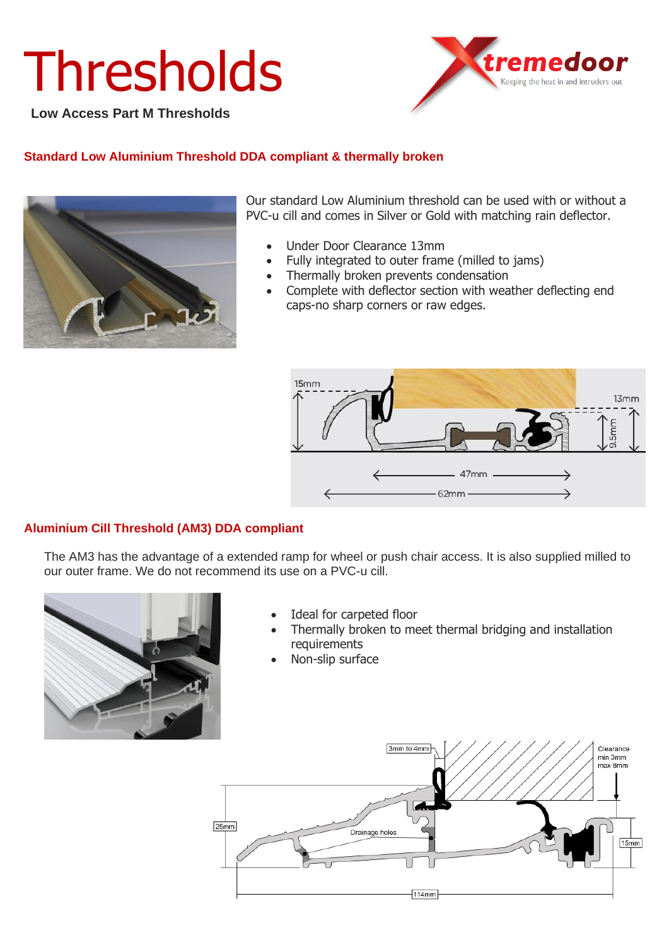# **Thresholds**

**Low Access Part M Thresholds**



### **Standard Low Aluminium Threshold DDA compliant & thermally broken**



Our standard Low Aluminium threshold can be used with or without a PVC-u cill and comes in Silver or Gold with matching rain deflector.

- Under Door Clearance 13mm
- Fully integrated to outer frame (milled to jams)
- Thermally broken prevents condensation
- Complete with deflector section with weather deflecting end caps-no sharp corners or raw edges.



#### **Aluminium Cill Threshold (AM3) DDA compliant**

The AM3 has the advantage of a extended ramp for wheel or push chair access. It is also supplied milled to our outer frame. We do not recommend its use on a PVC-u cill.



- Ideal for carpeted floor
- Thermally broken to meet thermal bridging and installation requirements
- Non-slip surface

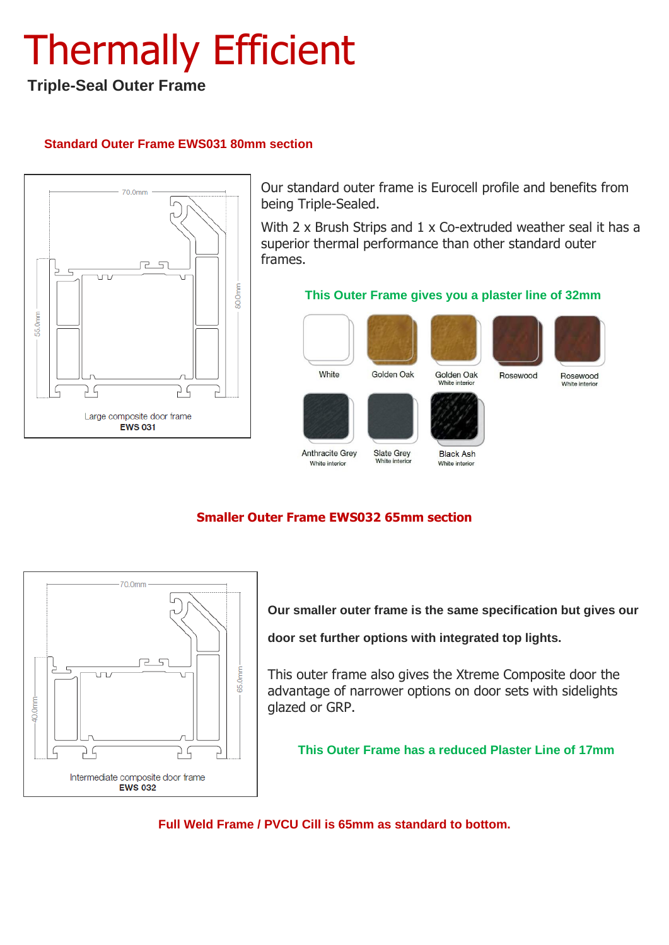## Thermally Efficient

### **Triple-Seal Outer Frame**

### **Standard Outer Frame EWS031 80mm section**



Our standard outer frame is Eurocell profile and benefits from being Triple-Sealed.

With 2 x Brush Strips and 1 x Co-extruded weather seal it has a superior thermal performance than other standard outer frames.

#### **This Outer Frame gives you a plaster line of 32mm**







Rosewood



Rosewood

White interio

White

Anthracite Grey

White interior

Golden Oak White interio



**Slate Grey** 

White interio

White interior

### **Black Ash**

**Smaller Outer Frame EWS032 65mm section**



**Our smaller outer frame is the same specification but gives our** 

**door set further options with integrated top lights.**

This outer frame also gives the Xtreme Composite door the advantage of narrower options on door sets with sidelights glazed or GRP.

**This Outer Frame has a reduced Plaster Line of 17mm**

**Full Weld Frame / PVCU Cill is 65mm as standard to bottom.**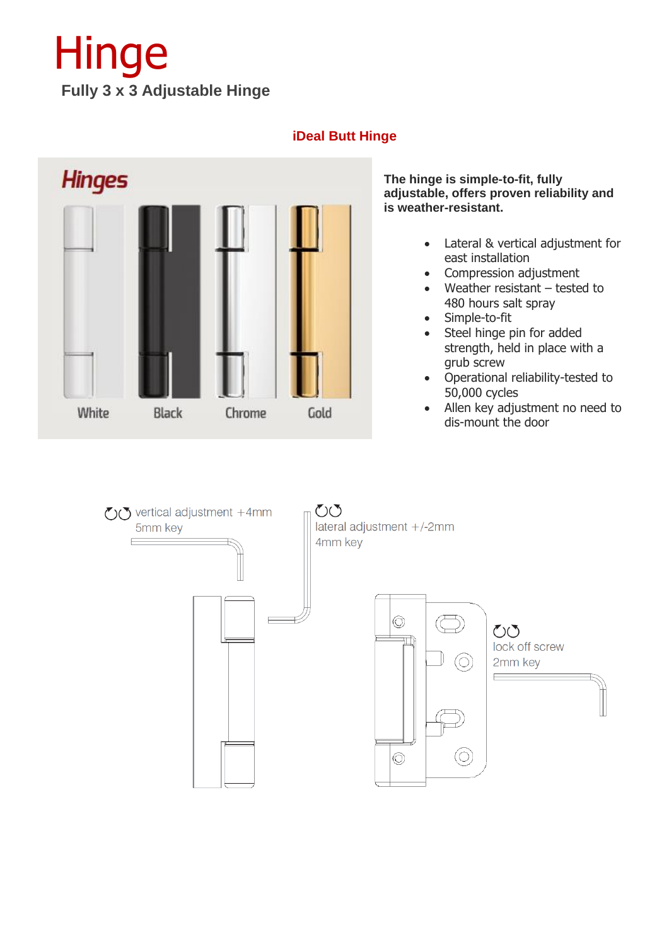### Hinge **Fully 3 x 3 Adjustable Hinge**

### **iDeal Butt Hinge**



**The hinge is simple-to-fit, fully adjustable, offers proven reliability and is weather-resistant.**

- Lateral & vertical adjustment for east installation
- Compression adjustment
- Weather resistant  $-$  tested to 480 hours salt spray
- Simple-to-fit
- Steel hinge pin for added strength, held in place with a grub screw
- Operational reliability-tested to 50,000 cycles
- Allen key adjustment no need to dis-mount the door

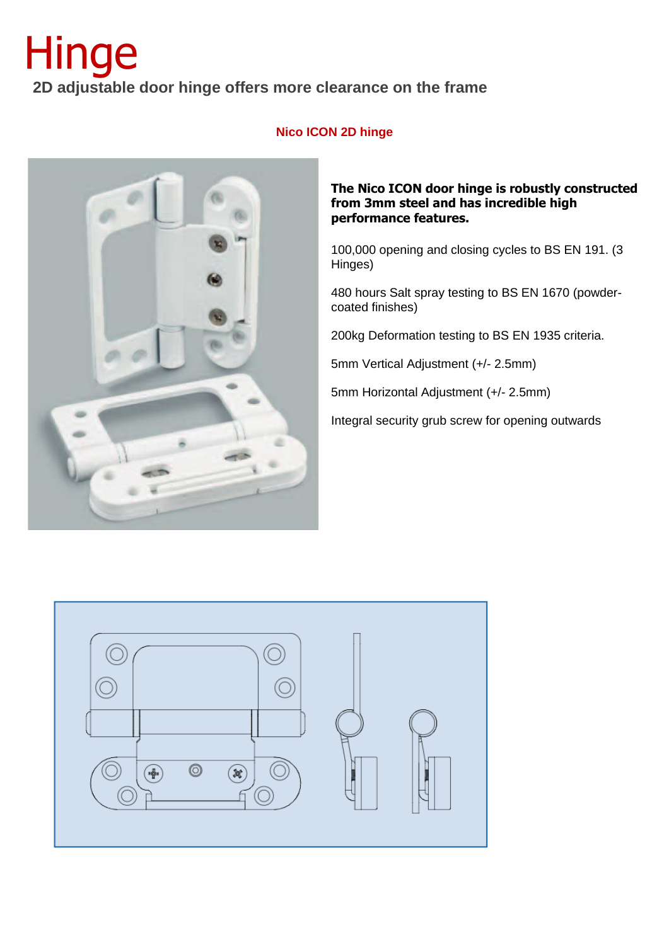### Hinge  **2D adjustable door hinge offers more clearance on the frame**



### **Nico ICON 2D hinge**

#### **The Nico ICON door hinge is robustly constructed from 3mm steel and has incredible high performance features.**

100,000 opening and closing cycles to BS EN 191. (3 Hinges)

480 hours Salt spray testing to BS EN 1670 (powdercoated finishes)

200kg Deformation testing to BS EN 1935 criteria.

5mm Vertical Adjustment (+/- 2.5mm)

5mm Horizontal Adjustment (+/- 2.5mm)

Integral security grub screw for opening outwards

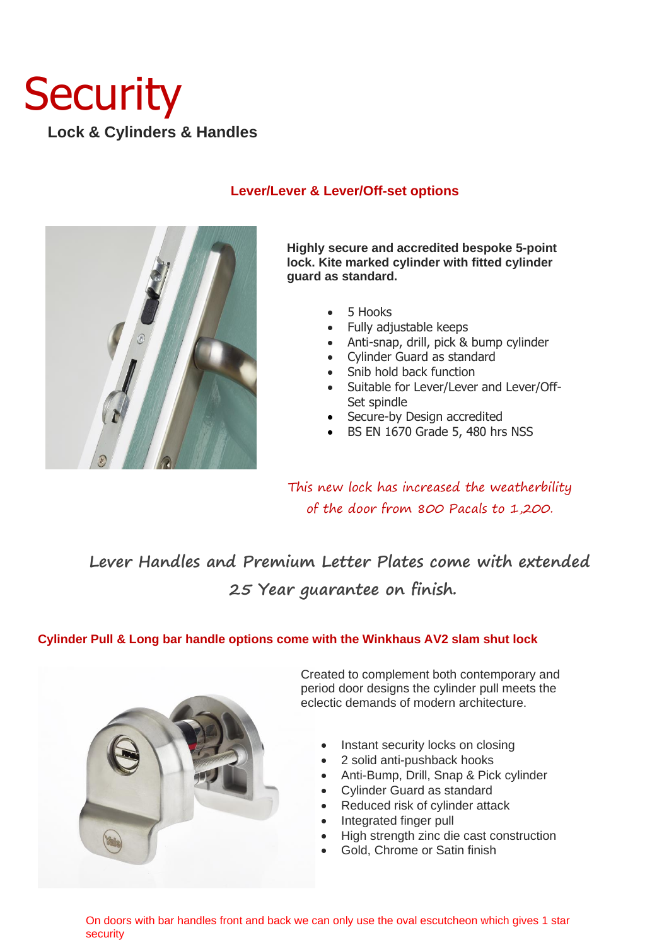### **Security Lock & Cylinders & Handles**



### **Lever/Lever & Lever/Off-set options**

**Highly secure and accredited bespoke 5-point lock. Kite marked cylinder with fitted cylinder guard as standard.**

- 5 Hooks
- Fully adjustable keeps
- Anti-snap, drill, pick & bump cylinder
- Cylinder Guard as standard
- Snib hold back function
- Suitable for Lever/Lever and Lever/Off-Set spindle
- Secure-by Design accredited
- BS EN 1670 Grade 5, 480 hrs NSS

This new lock has increased the weatherbility of the door from 800 Pacals to 1,200.

### **Lever Handles and Premium Letter Plates come with extended 25 Year guarantee on finish.**

### **Cylinder Pull & Long bar handle options come with the Winkhaus AV2 slam shut lock**



Created to complement both contemporary and period door designs the cylinder pull meets the eclectic demands of modern architecture.

- Instant security locks on closing
- 2 solid anti-pushback hooks
- Anti-Bump, Drill, Snap & Pick cylinder
- Cylinder Guard as standard
- Reduced risk of cylinder attack
- Integrated finger pull
- High strength zinc die cast construction
- Gold, Chrome or Satin finish

On doors with bar handles front and back we can only use the oval escutcheon which gives 1 star security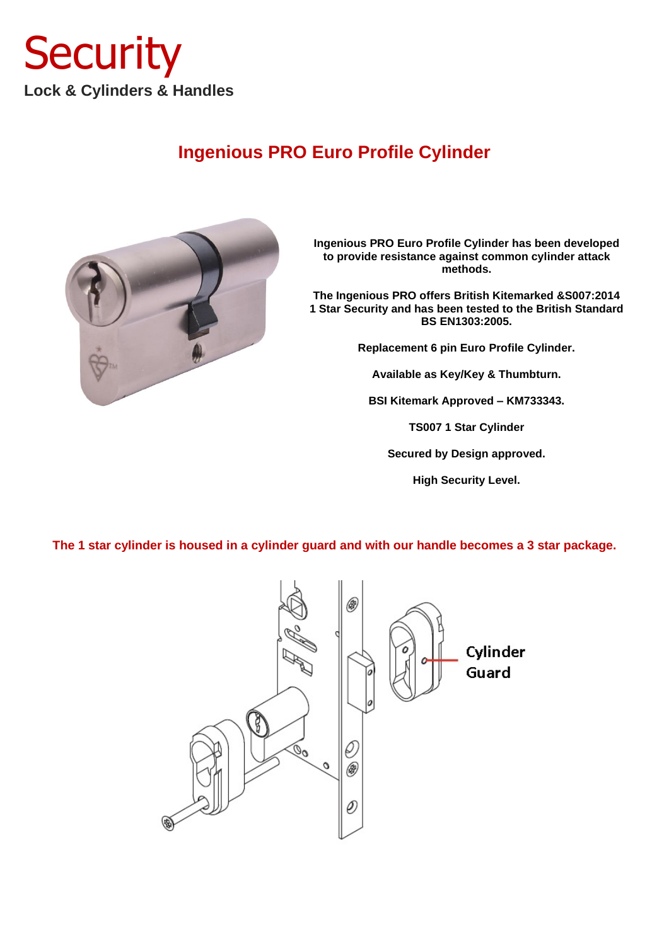

### **Ingenious PRO Euro Profile Cylinder**



**Ingenious PRO Euro Profile Cylinder has been developed to provide resistance against common cylinder attack methods.**

**The Ingenious PRO offers British Kitemarked &S007:2014 1 Star Security and has been tested to the British Standard BS EN1303:2005.**

**Replacement 6 pin Euro Profile Cylinder.**

**Available as Key/Key & Thumbturn.**

**BSI Kitemark Approved – KM733343.**

**TS007 1 Star Cylinder**

**Secured by Design approved.**

**High Security Level.**

**The 1 star cylinder is housed in a cylinder guard and with our handle becomes a 3 star package.** 

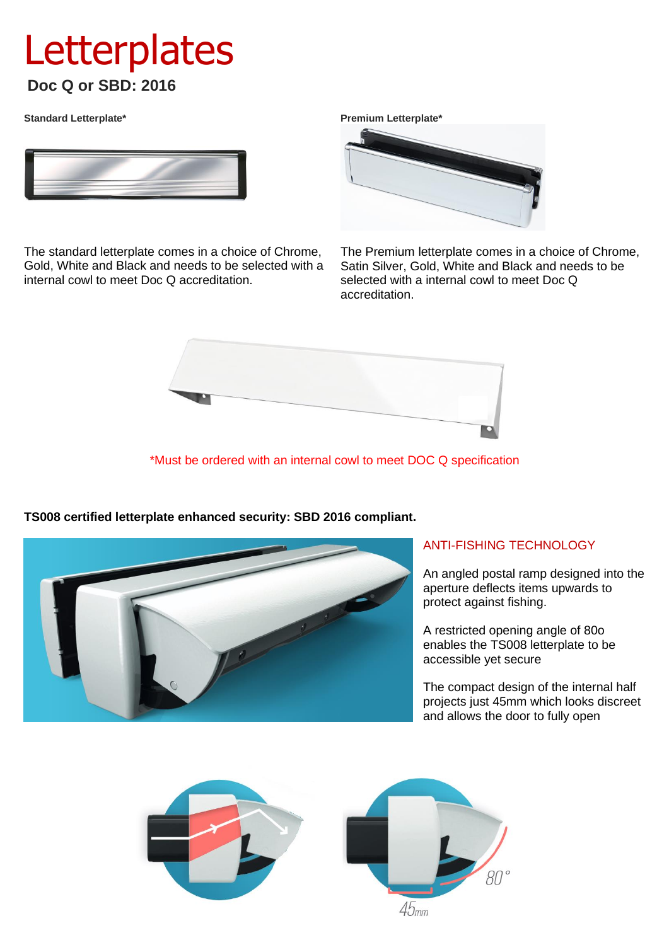### **Letterplates Doc Q or SBD: 2016**

**Standard Letterplate\***



The standard letterplate comes in a choice of Chrome, Gold, White and Black and needs to be selected with a internal cowl to meet Doc Q accreditation.

**Premium Letterplate\***



The Premium letterplate comes in a choice of Chrome, Satin Silver, Gold, White and Black and needs to be selected with a internal cowl to meet Doc Q accreditation.



\*Must be ordered with an internal cowl to meet DOC Q specification



**TS008 certified letterplate enhanced security: SBD 2016 compliant.** 

### ANTI-FISHING TECHNOLOGY

An angled postal ramp designed into the aperture deflects items upwards to protect against fishing.

A restricted opening angle of 80o enables the TS008 letterplate to be accessible yet secure

The compact design of the internal half projects just 45mm which looks discreet and allows the door to fully open